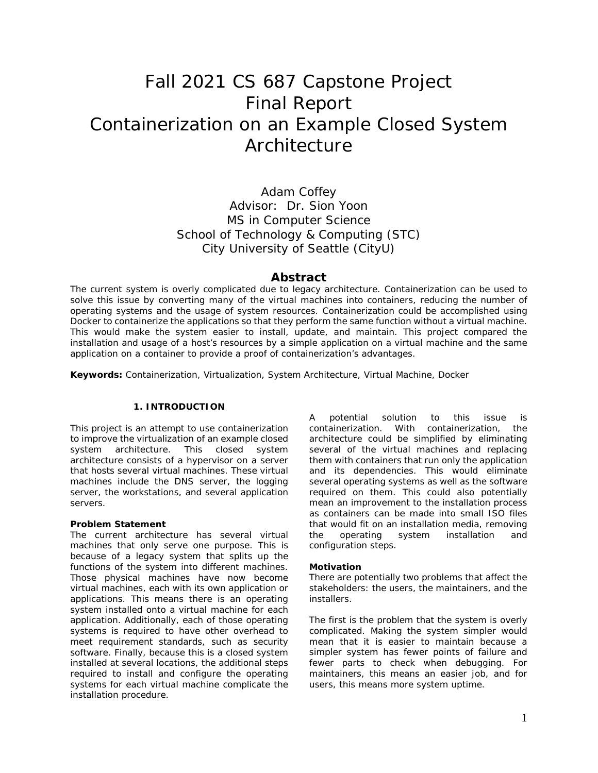# Fall 2021 CS 687 Capstone Project Final Report Containerization on an Example Closed System Architecture

Adam Coffey Advisor: Dr. Sion Yoon MS in Computer Science School of Technology & Computing (STC) City University of Seattle (CityU)

# **Abstract**

The current system is overly complicated due to legacy architecture. Containerization can be used to solve this issue by converting many of the virtual machines into containers, reducing the number of operating systems and the usage of system resources. Containerization could be accomplished using Docker to containerize the applications so that they perform the same function without a virtual machine. This would make the system easier to install, update, and maintain. This project compared the installation and usage of a host's resources by a simple application on a virtual machine and the same application on a container to provide a proof of containerization's advantages.

**Keywords:** Containerization, Virtualization, System Architecture, Virtual Machine, Docker

#### **1. INTRODUCTION**

This project is an attempt to use containerization to improve the virtualization of an example closed system architecture. This closed system architecture consists of a hypervisor on a server that hosts several virtual machines. These virtual machines include the DNS server, the logging server, the workstations, and several application servers.

#### **Problem Statement**

The current architecture has several virtual machines that only serve one purpose. This is because of a legacy system that splits up the functions of the system into different machines. Those physical machines have now become virtual machines, each with its own application or applications. This means there is an operating system installed onto a virtual machine for each application. Additionally, each of those operating systems is required to have other overhead to meet requirement standards, such as security software. Finally, because this is a closed system installed at several locations, the additional steps required to install and configure the operating systems for each virtual machine complicate the installation procedure.

A potential solution to this issue is containerization. With containerization, the architecture could be simplified by eliminating several of the virtual machines and replacing them with containers that run only the application and its dependencies. This would eliminate several operating systems as well as the software required on them. This could also potentially mean an improvement to the installation process as containers can be made into small ISO files that would fit on an installation media, removing the operating system installation and configuration steps.

#### **Motivation**

There are potentially two problems that affect the stakeholders: the users, the maintainers, and the installers.

The first is the problem that the system is overly complicated. Making the system simpler would mean that it is easier to maintain because a simpler system has fewer points of failure and fewer parts to check when debugging. For maintainers, this means an easier job, and for users, this means more system uptime.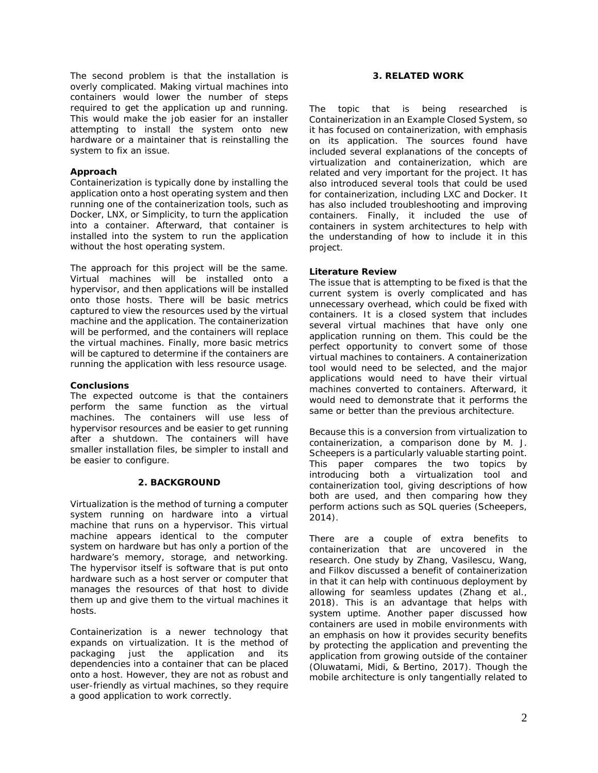The second problem is that the installation is overly complicated. Making virtual machines into containers would lower the number of steps required to get the application up and running. This would make the job easier for an installer attempting to install the system onto new hardware or a maintainer that is reinstalling the system to fix an issue.

## **Approach**

Containerization is typically done by installing the application onto a host operating system and then running one of the containerization tools, such as Docker, LNX, or Simplicity, to turn the application into a container. Afterward, that container is installed into the system to run the application without the host operating system.

The approach for this project will be the same. Virtual machines will be installed onto a hypervisor, and then applications will be installed onto those hosts. There will be basic metrics captured to view the resources used by the virtual machine and the application. The containerization will be performed, and the containers will replace the virtual machines. Finally, more basic metrics will be captured to determine if the containers are running the application with less resource usage.

#### **Conclusions**

The expected outcome is that the containers perform the same function as the virtual machines. The containers will use less of hypervisor resources and be easier to get running after a shutdown. The containers will have smaller installation files, be simpler to install and be easier to configure.

## **2. BACKGROUND**

Virtualization is the method of turning a computer system running on hardware into a virtual machine that runs on a hypervisor. This virtual machine appears identical to the computer system on hardware but has only a portion of the hardware's memory, storage, and networking. The hypervisor itself is software that is put onto hardware such as a host server or computer that manages the resources of that host to divide them up and give them to the virtual machines it hosts.

Containerization is a newer technology that expands on virtualization. It is the method of packaging just the application and its dependencies into a container that can be placed onto a host. However, they are not as robust and user-friendly as virtual machines, so they require a good application to work correctly.

## **3. RELATED WORK**

The topic that is being researched is Containerization in an Example Closed System, so it has focused on containerization, with emphasis on its application. The sources found have included several explanations of the concepts of virtualization and containerization, which are related and very important for the project. It has also introduced several tools that could be used for containerization, including LXC and Docker. It has also included troubleshooting and improving containers. Finally, it included the use of containers in system architectures to help with the understanding of how to include it in this project.

## **Literature Review**

The issue that is attempting to be fixed is that the current system is overly complicated and has unnecessary overhead, which could be fixed with containers. It is a closed system that includes several virtual machines that have only one application running on them. This could be the perfect opportunity to convert some of those virtual machines to containers. A containerization tool would need to be selected, and the major applications would need to have their virtual machines converted to containers. Afterward, it would need to demonstrate that it performs the same or better than the previous architecture.

Because this is a conversion from virtualization to containerization, a comparison done by M. J. Scheepers is a particularly valuable starting point. This paper compares the two topics by introducing both a virtualization tool and containerization tool, giving descriptions of how both are used, and then comparing how they perform actions such as SQL queries (Scheepers, 2014).

There are a couple of extra benefits to containerization that are uncovered in the research. One study by Zhang, Vasilescu, Wang, and Filkov discussed a benefit of containerization in that it can help with continuous deployment by allowing for seamless updates (Zhang et al., 2018). This is an advantage that helps with system uptime. Another paper discussed how containers are used in mobile environments with an emphasis on how it provides security benefits by protecting the application and preventing the application from growing outside of the container (Oluwatami, Midi, & Bertino, 2017). Though the mobile architecture is only tangentially related to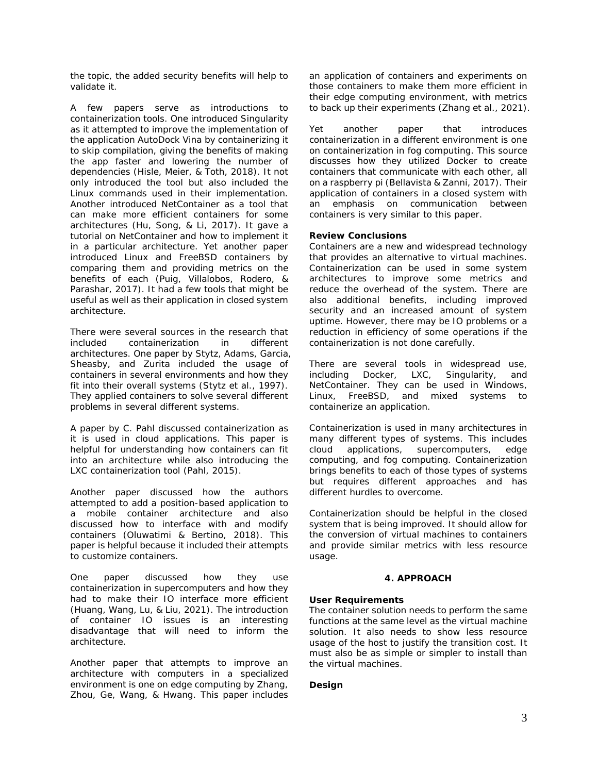the topic, the added security benefits will help to validate it.

A few papers serve as introductions to containerization tools. One introduced Singularity as it attempted to improve the implementation of the application AutoDock Vina by containerizing it to skip compilation, giving the benefits of making the app faster and lowering the number of dependencies (Hisle, Meier, & Toth, 2018). It not only introduced the tool but also included the Linux commands used in their implementation. Another introduced NetContainer as a tool that can make more efficient containers for some architectures (Hu, Song, & Li, 2017). It gave a tutorial on NetContainer and how to implement it in a particular architecture. Yet another paper introduced Linux and FreeBSD containers by comparing them and providing metrics on the benefits of each (Puig, Villalobos, Rodero, & Parashar, 2017). It had a few tools that might be useful as well as their application in closed system architecture.

There were several sources in the research that included containerization in different architectures. One paper by Stytz, Adams, Garcia, Sheasby, and Zurita included the usage of containers in several environments and how they fit into their overall systems (Stytz et al., 1997). They applied containers to solve several different problems in several different systems.

A paper by C. Pahl discussed containerization as it is used in cloud applications. This paper is helpful for understanding how containers can fit into an architecture while also introducing the LXC containerization tool (Pahl, 2015).

Another paper discussed how the authors attempted to add a position-based application to a mobile container architecture and also discussed how to interface with and modify containers (Oluwatimi & Bertino, 2018). This paper is helpful because it included their attempts to customize containers.

One paper discussed how they use containerization in supercomputers and how they had to make their IO interface more efficient (Huang, Wang, Lu, & Liu, 2021). The introduction of container IO issues is an interesting disadvantage that will need to inform the architecture.

Another paper that attempts to improve an architecture with computers in a specialized environment is one on edge computing by Zhang, Zhou, Ge, Wang, & Hwang. This paper includes an application of containers and experiments on those containers to make them more efficient in their edge computing environment, with metrics to back up their experiments (Zhang et al., 2021).

Yet another paper that introduces containerization in a different environment is one on containerization in fog computing. This source discusses how they utilized Docker to create containers that communicate with each other, all on a raspberry pi (Bellavista & Zanni, 2017). Their application of containers in a closed system with an emphasis on communication between containers is very similar to this paper.

## **Review Conclusions**

Containers are a new and widespread technology that provides an alternative to virtual machines. Containerization can be used in some system architectures to improve some metrics and reduce the overhead of the system. There are also additional benefits, including improved security and an increased amount of system uptime. However, there may be IO problems or a reduction in efficiency of some operations if the containerization is not done carefully.

There are several tools in widespread use, including Docker, LXC, Singularity, and NetContainer. They can be used in Windows, Linux, FreeBSD, and mixed systems to containerize an application.

Containerization is used in many architectures in many different types of systems. This includes cloud applications, supercomputers, edge computing, and fog computing. Containerization brings benefits to each of those types of systems but requires different approaches and has different hurdles to overcome.

Containerization should be helpful in the closed system that is being improved. It should allow for the conversion of virtual machines to containers and provide similar metrics with less resource usage.

# **4. APPROACH**

# **User Requirements**

The container solution needs to perform the same functions at the same level as the virtual machine solution. It also needs to show less resource usage of the host to justify the transition cost. It must also be as simple or simpler to install than the virtual machines.

# **Design**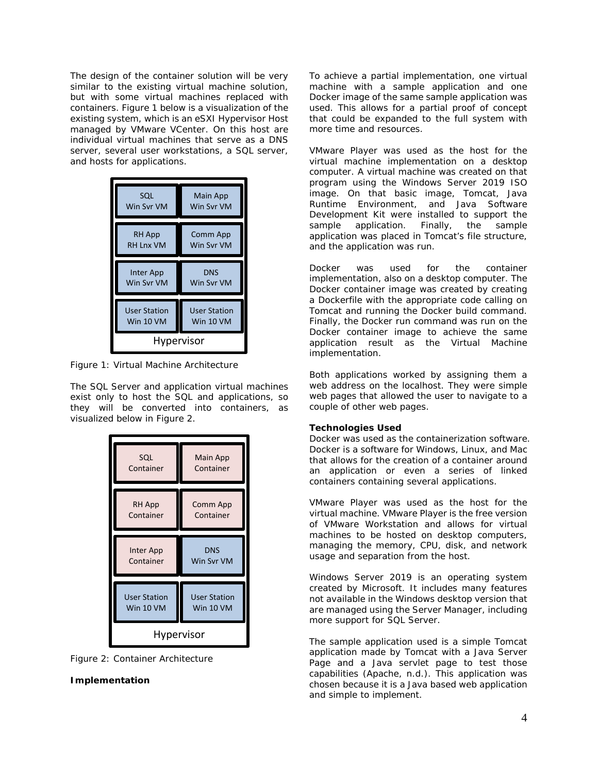The design of the container solution will be very similar to the existing virtual machine solution, but with some virtual machines replaced with containers. Figure 1 below is a visualization of the existing system, which is an eSXI Hypervisor Host managed by VMware VCenter. On this host are individual virtual machines that serve as a DNS server, several user workstations, a SQL server, and hosts for applications.



*Figure 1: Virtual Machine Architecture*

The SQL Server and application virtual machines exist only to host the SQL and applications, so they will be converted into containers, as visualized below in Figure 2.



*Figure 2: Container Architecture*

# **Implementation**

To achieve a partial implementation, one virtual machine with a sample application and one Docker image of the same sample application was used. This allows for a partial proof of concept that could be expanded to the full system with more time and resources.

VMware Player was used as the host for the virtual machine implementation on a desktop computer. A virtual machine was created on that program using the Windows Server 2019 ISO image. On that basic image, Tomcat, Java Runtime Environment, and Java Software Development Kit were installed to support the sample application. Finally, the sample application was placed in Tomcat's file structure, and the application was run.

Docker was used for the container implementation, also on a desktop computer. The Docker container image was created by creating a Dockerfile with the appropriate code calling on Tomcat and running the Docker build command. Finally, the Docker run command was run on the Docker container image to achieve the same application result as the Virtual Machine implementation.

Both applications worked by assigning them a web address on the localhost. They were simple web pages that allowed the user to navigate to a couple of other web pages.

#### **Technologies Used**

Docker was used as the containerization software. Docker is a software for Windows, Linux, and Mac that allows for the creation of a container around an application or even a series of linked containers containing several applications.

VMware Player was used as the host for the virtual machine. VMware Player is the free version of VMware Workstation and allows for virtual machines to be hosted on desktop computers, managing the memory, CPU, disk, and network usage and separation from the host.

Windows Server 2019 is an operating system created by Microsoft. It includes many features not available in the Windows desktop version that are managed using the Server Manager, including more support for SQL Server.

The sample application used is a simple Tomcat application made by Tomcat with a Java Server Page and a Java servlet page to test those capabilities (Apache, n.d.). This application was chosen because it is a Java based web application and simple to implement.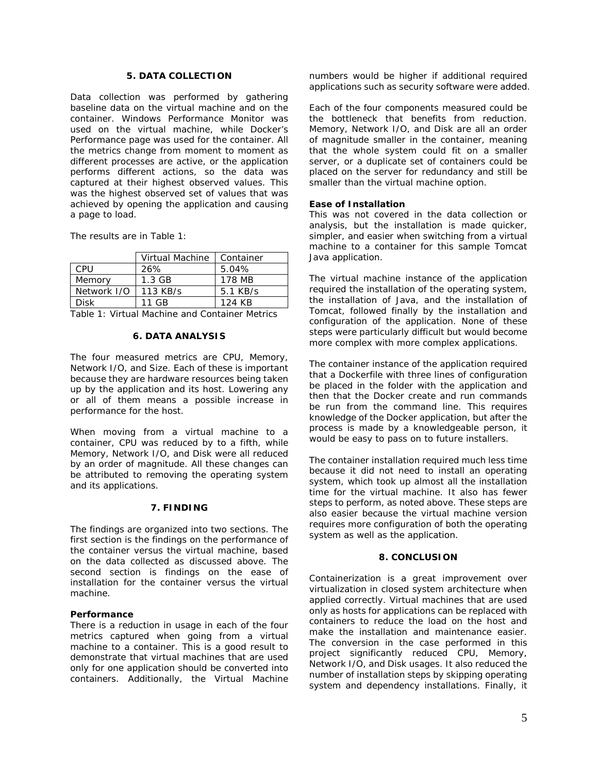## **5. DATA COLLECTION**

Data collection was performed by gathering baseline data on the virtual machine and on the container. Windows Performance Monitor was used on the virtual machine, while Docker's Performance page was used for the container. All the metrics change from moment to moment as different processes are active, or the application performs different actions, so the data was captured at their highest observed values. This was the highest observed set of values that was achieved by opening the application and causing a page to load.

The results are in Table 1:

|             | Virtual Machine | Container |
|-------------|-----------------|-----------|
| CPU         | 26%             | 5.04%     |
| Memory      | $1.3$ GB        | 178 MB    |
| Network I/O | 113 KB/s        | 5.1 KB/s  |
| <b>Disk</b> | 11 GB           | 124 KB    |

*Table 1: Virtual Machine and Container Metrics*

## **6. DATA ANALYSIS**

The four measured metrics are CPU, Memory, Network I/O, and Size. Each of these is important because they are hardware resources being taken up by the application and its host. Lowering any or all of them means a possible increase in performance for the host.

When moving from a virtual machine to a container, CPU was reduced by to a fifth, while Memory, Network I/O, and Disk were all reduced by an order of magnitude. All these changes can be attributed to removing the operating system and its applications.

# **7. FINDING**

The findings are organized into two sections. The first section is the findings on the performance of the container versus the virtual machine, based on the data collected as discussed above. The second section is findings on the ease of installation for the container versus the virtual machine.

#### **Performance**

There is a reduction in usage in each of the four metrics captured when going from a virtual machine to a container. This is a good result to demonstrate that virtual machines that are used only for one application should be converted into containers. Additionally, the Virtual Machine numbers would be higher if additional required applications such as security software were added.

Each of the four components measured could be the bottleneck that benefits from reduction. Memory, Network I/O, and Disk are all an order of magnitude smaller in the container, meaning that the whole system could fit on a smaller server, or a duplicate set of containers could be placed on the server for redundancy and still be smaller than the virtual machine option.

## **Ease of Installation**

This was not covered in the data collection or analysis, but the installation is made quicker, simpler, and easier when switching from a virtual machine to a container for this sample Tomcat Java application.

The virtual machine instance of the application required the installation of the operating system, the installation of Java, and the installation of Tomcat, followed finally by the installation and configuration of the application. None of these steps were particularly difficult but would become more complex with more complex applications.

The container instance of the application required that a Dockerfile with three lines of configuration be placed in the folder with the application and then that the Docker create and run commands be run from the command line. This requires knowledge of the Docker application, but after the process is made by a knowledgeable person, it would be easy to pass on to future installers.

The container installation required much less time because it did not need to install an operating system, which took up almost all the installation time for the virtual machine. It also has fewer steps to perform, as noted above. These steps are also easier because the virtual machine version requires more configuration of both the operating system as well as the application.

### **8. CONCLUSION**

Containerization is a great improvement over virtualization in closed system architecture when applied correctly. Virtual machines that are used only as hosts for applications can be replaced with containers to reduce the load on the host and make the installation and maintenance easier. The conversion in the case performed in this project significantly reduced CPU, Memory, Network I/O, and Disk usages. It also reduced the number of installation steps by skipping operating system and dependency installations. Finally, it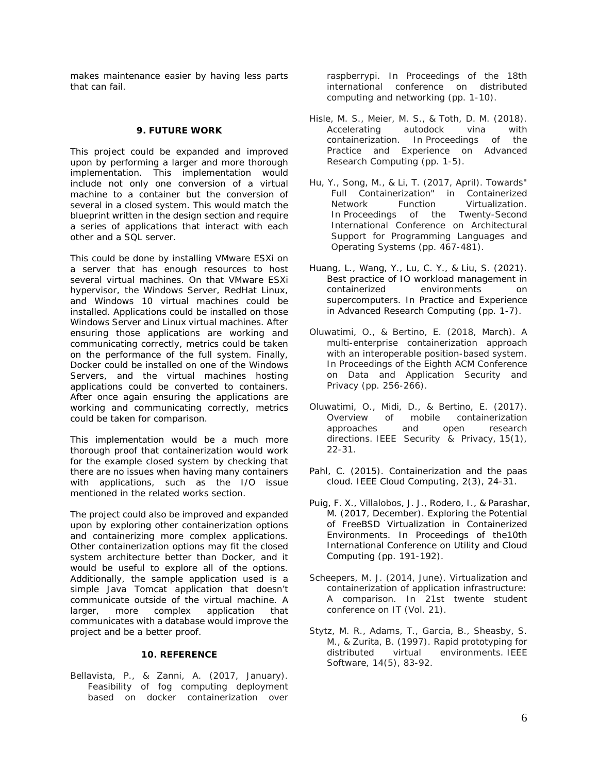makes maintenance easier by having less parts that can fail.

#### **9. FUTURE WORK**

This project could be expanded and improved upon by performing a larger and more thorough implementation. This implementation would include not only one conversion of a virtual machine to a container but the conversion of several in a closed system. This would match the blueprint written in the design section and require a series of applications that interact with each other and a SQL server.

This could be done by installing VMware ESXi on a server that has enough resources to host several virtual machines. On that VMware ESXi hypervisor, the Windows Server, RedHat Linux, and Windows 10 virtual machines could be installed. Applications could be installed on those Windows Server and Linux virtual machines. After ensuring those applications are working and communicating correctly, metrics could be taken on the performance of the full system. Finally, Docker could be installed on one of the Windows Servers, and the virtual machines hosting applications could be converted to containers. After once again ensuring the applications are working and communicating correctly, metrics could be taken for comparison.

This implementation would be a much more thorough proof that containerization would work for the example closed system by checking that there are no issues when having many containers with applications, such as the I/O issue mentioned in the related works section.

The project could also be improved and expanded upon by exploring other containerization options and containerizing more complex applications. Other containerization options may fit the closed system architecture better than Docker, and it would be useful to explore all of the options. Additionally, the sample application used is a simple Java Tomcat application that doesn't communicate outside of the virtual machine. A larger, more complex application that communicates with a database would improve the project and be a better proof.

#### **10. REFERENCE**

Bellavista, P., & Zanni, A. (2017, January). Feasibility of fog computing deployment based on docker containerization over raspberrypi. In Proceedings of the 18th international conference on distributed computing and networking (pp. 1-10).

- Hisle, M. S., Meier, M. S., & Toth, D. M. (2018).<br>Accelerating autodock vina with Accelerating autodock vina with containerization. In *Proceedings of the Practice and Experience on Advanced Research Computing* (pp. 1-5).
- Hu, Y., Song, M., & Li, T. (2017, April). Towards" Full Containerization" in Containerized Network Function Virtualization. In *Proceedings of the Twenty-Second International Conference on Architectural Support for Programming Languages and Operating Systems* (pp. 467-481).
- Huang, L., Wang, Y., Lu, C. Y., & Liu, S. (2021). Best practice of IO workload management in containerized environments on supercomputers. In Practice and Experience in Advanced Research Computing (pp. 1-7).
- Oluwatimi, O., & Bertino, E. (2018, March). A multi-enterprise containerization approach with an interoperable position-based system. In *Proceedings of the Eighth ACM Conference on Data and Application Security and Privacy* (pp. 256-266).
- Oluwatimi, O., Midi, D., & Bertino, E. (2017). Overview of mobile containerization approaches and open research directions. *IEEE Security & Privacy*, *15*(1), 22-31.
- Pahl, C. (2015). Containerization and the paas cloud. *IEEE Cloud Computing*, *2*(3), 24-31.
- Puig, F. X., Villalobos, J. J., Rodero, I., & Parashar, M. (2017, December). Exploring the Potential of FreeBSD Virtualization in Containerized Environments. In Proceedings of the10th International Conference on Utility and Cloud Computing (pp. 191-192).
- Scheepers, M. J. (2014, June). Virtualization and containerization of application infrastructure: A comparison. In 21st twente student conference on IT (Vol. 21).
- Stytz, M. R., Adams, T., Garcia, B., Sheasby, S. M., & Zurita, B. (1997). Rapid prototyping for distributed virtual environments. *IEEE Software*, *14*(5), 83-92.